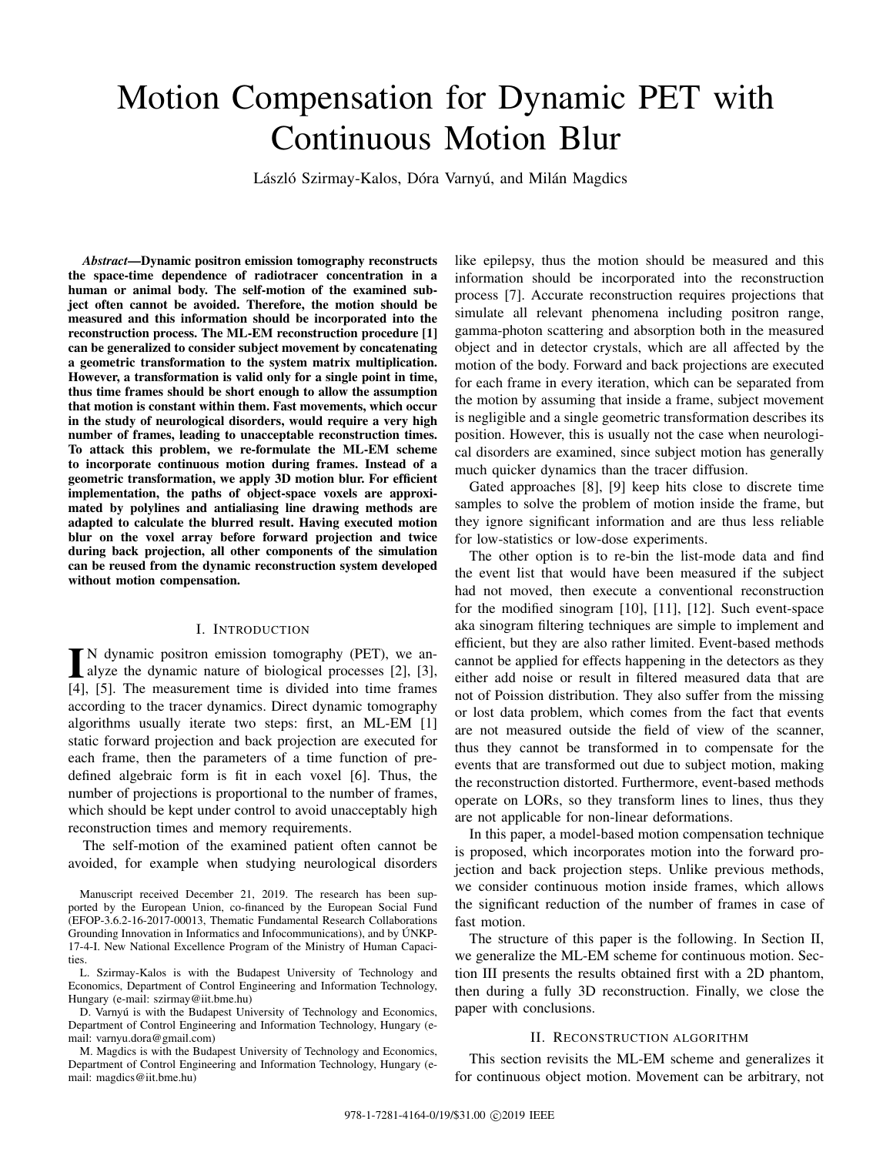# Motion Compensation for Dynamic PET with Continuous Motion Blur

László Szirmay-Kalos, Dóra Varnyú, and Milán Magdics

*Abstract*—Dynamic positron emission tomography reconstructs the space-time dependence of radiotracer concentration in a human or animal body. The self-motion of the examined subject often cannot be avoided. Therefore, the motion should be measured and this information should be incorporated into the reconstruction process. The ML-EM reconstruction procedure [1] can be generalized to consider subject movement by concatenating a geometric transformation to the system matrix multiplication. However, a transformation is valid only for a single point in time, thus time frames should be short enough to allow the assumption that motion is constant within them. Fast movements, which occur in the study of neurological disorders, would require a very high number of frames, leading to unacceptable reconstruction times. To attack this problem, we re-formulate the ML-EM scheme to incorporate continuous motion during frames. Instead of a geometric transformation, we apply 3D motion blur. For efficient implementation, the paths of object-space voxels are approximated by polylines and antialiasing line drawing methods are adapted to calculate the blurred result. Having executed motion blur on the voxel array before forward projection and twice during back projection, all other components of the simulation can be reused from the dynamic reconstruction system developed without motion compensation.

## I. INTRODUCTION

 $\blacksquare$  N dynamic positron emission tomography (PET), we analyze the dynamic nature of biological processes [2], [3], alyze the dynamic nature of biological processes [2], [3], [4], [5]. The measurement time is divided into time frames according to the tracer dynamics. Direct dynamic tomography algorithms usually iterate two steps: first, an ML-EM [1] static forward projection and back projection are executed for each frame, then the parameters of a time function of predefined algebraic form is fit in each voxel [6]. Thus, the number of projections is proportional to the number of frames, which should be kept under control to avoid unacceptably high reconstruction times and memory requirements.

The self-motion of the examined patient often cannot be avoided, for example when studying neurological disorders

Manuscript received December 21, 2019. The research has been supported by the European Union, co-financed by the European Social Fund (EFOP-3.6.2-16-2017-00013, Thematic Fundamental Research Collaborations Grounding Innovation in Informatics and Infocommunications), and by UNKP-17-4-I. New National Excellence Program of the Ministry of Human Capacities.

L. Szirmay-Kalos is with the Budapest University of Technology and Economics, Department of Control Engineering and Information Technology, Hungary (e-mail: szirmay@iit.bme.hu)

D. Varnyú is with the Budapest University of Technology and Economics, Department of Control Engineering and Information Technology, Hungary (email: varnyu.dora@gmail.com)

M. Magdics is with the Budapest University of Technology and Economics, Department of Control Engineering and Information Technology, Hungary (email: magdics@iit.bme.hu)

like epilepsy, thus the motion should be measured and this information should be incorporated into the reconstruction process [7]. Accurate reconstruction requires projections that simulate all relevant phenomena including positron range, gamma-photon scattering and absorption both in the measured object and in detector crystals, which are all affected by the motion of the body. Forward and back projections are executed for each frame in every iteration, which can be separated from the motion by assuming that inside a frame, subject movement is negligible and a single geometric transformation describes its position. However, this is usually not the case when neurological disorders are examined, since subject motion has generally much quicker dynamics than the tracer diffusion.

Gated approaches [8], [9] keep hits close to discrete time samples to solve the problem of motion inside the frame, but they ignore significant information and are thus less reliable for low-statistics or low-dose experiments.

The other option is to re-bin the list-mode data and find the event list that would have been measured if the subject had not moved, then execute a conventional reconstruction for the modified sinogram [10], [11], [12]. Such event-space aka sinogram filtering techniques are simple to implement and efficient, but they are also rather limited. Event-based methods cannot be applied for effects happening in the detectors as they either add noise or result in filtered measured data that are not of Poission distribution. They also suffer from the missing or lost data problem, which comes from the fact that events are not measured outside the field of view of the scanner, thus they cannot be transformed in to compensate for the events that are transformed out due to subject motion, making the reconstruction distorted. Furthermore, event-based methods operate on LORs, so they transform lines to lines, thus they are not applicable for non-linear deformations.

In this paper, a model-based motion compensation technique is proposed, which incorporates motion into the forward projection and back projection steps. Unlike previous methods, we consider continuous motion inside frames, which allows the significant reduction of the number of frames in case of fast motion.

The structure of this paper is the following. In Section II, we generalize the ML-EM scheme for continuous motion. Section III presents the results obtained first with a 2D phantom, then during a fully 3D reconstruction. Finally, we close the paper with conclusions.

## II. RECONSTRUCTION ALGORITHM

This section revisits the ML-EM scheme and generalizes it for continuous object motion. Movement can be arbitrary, not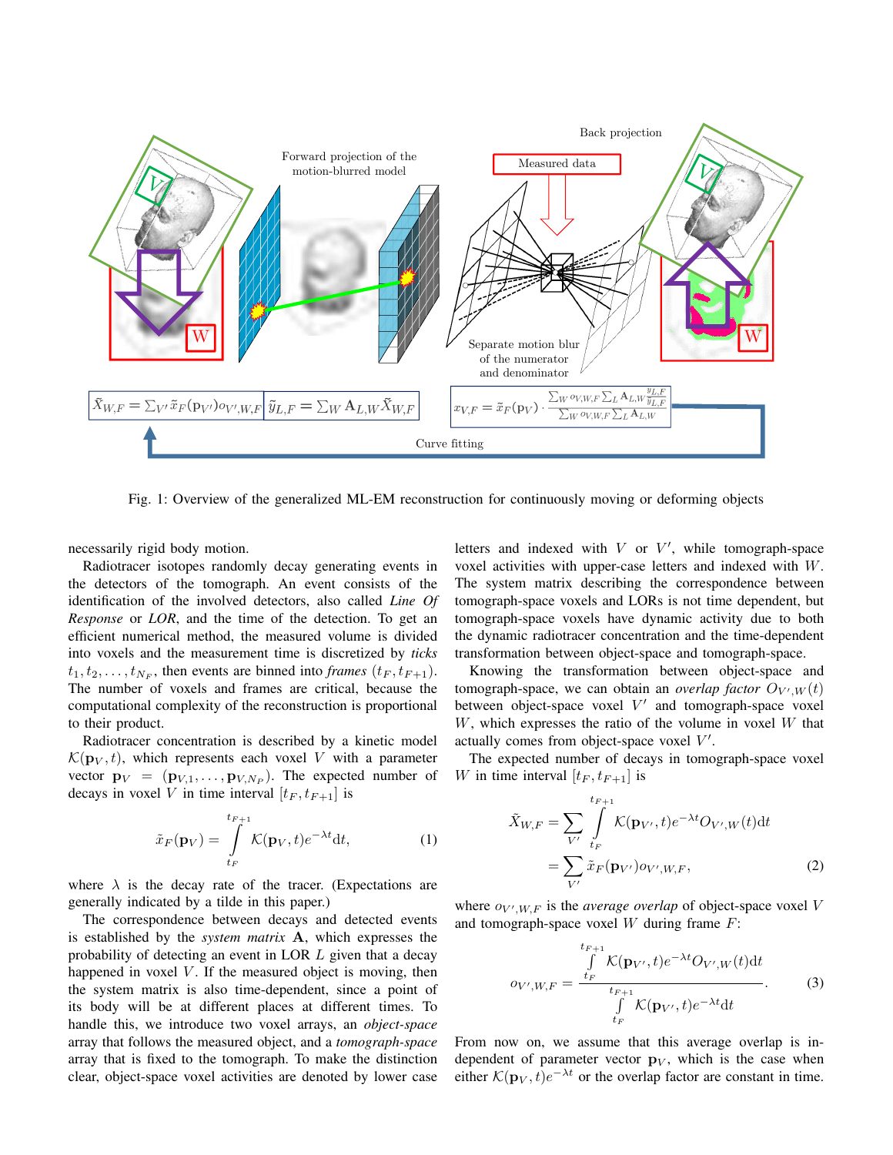

Fig. 1: Overview of the generalized ML-EM reconstruction for continuously moving or deforming objects

necessarily rigid body motion.

Radiotracer isotopes randomly decay generating events in the detectors of the tomograph. An event consists of the identification of the involved detectors, also called *Line Of Response* or *LOR*, and the time of the detection. To get an efficient numerical method, the measured volume is divided into voxels and the measurement time is discretized by *ticks*  $t_1, t_2, \ldots, t_{N_F}$ , then events are binned into *frames*  $(t_F, t_{F+1})$ . The number of voxels and frames are critical, because the computational complexity of the reconstruction is proportional to their product.

Radiotracer concentration is described by a kinetic model  $\mathcal{K}(\mathbf{p}_V, t)$ , which represents each voxel V with a parameter vector  $\mathbf{p}_V = (\mathbf{p}_{V,1}, \dots, \mathbf{p}_{V,N_P})$ . The expected number of decays in voxel V in time interval  $[t_F, t_{F+1}]$  is

$$
\tilde{x}_F(\mathbf{p}_V) = \int_{t_F}^{t_{F+1}} \mathcal{K}(\mathbf{p}_V, t) e^{-\lambda t} dt,
$$
\n(1)

where  $\lambda$  is the decay rate of the tracer. (Expectations are generally indicated by a tilde in this paper.)

The correspondence between decays and detected events is established by the *system matrix* A, which expresses the probability of detecting an event in LOR L given that a decay happened in voxel  $V$ . If the measured object is moving, then the system matrix is also time-dependent, since a point of its body will be at different places at different times. To handle this, we introduce two voxel arrays, an *object-space* array that follows the measured object, and a *tomograph-space* array that is fixed to the tomograph. To make the distinction clear, object-space voxel activities are denoted by lower case

letters and indexed with  $V$  or  $V'$ , while tomograph-space voxel activities with upper-case letters and indexed with W. The system matrix describing the correspondence between tomograph-space voxels and LORs is not time dependent, but tomograph-space voxels have dynamic activity due to both the dynamic radiotracer concentration and the time-dependent transformation between object-space and tomograph-space.

Knowing the transformation between object-space and tomograph-space, we can obtain an *overlap factor*  $O_{V',W}(t)$ between object-space voxel  $V'$  and tomograph-space voxel  $W$ , which expresses the ratio of the volume in voxel  $W$  that actually comes from object-space voxel  $V'$ .

The expected number of decays in tomograph-space voxel W in time interval  $[t_F, t_{F+1}]$  is

$$
\tilde{X}_{W,F} = \sum_{V'} \int_{t_F}^{t_{F+1}} \mathcal{K}(\mathbf{p}_{V'},t) e^{-\lambda t} O_{V',W}(t) dt
$$
\n
$$
= \sum_{V'} \tilde{x}_F(\mathbf{p}_{V'}) o_{V',W,F},
$$
\n(2)

where  $o_{V',W,F}$  is the *average overlap* of object-space voxel V and tomograph-space voxel  $W$  during frame  $F$ :

$$
o_{V',W,F} = \frac{\int\limits_{t_F}^{t_{F+1}} \mathcal{K}(\mathbf{p}_{V'},t)e^{-\lambda t}O_{V',W}(t)\mathrm{d}t}{\int\limits_{t_F}^{t_{F+1}} \mathcal{K}(\mathbf{p}_{V'},t)e^{-\lambda t}\mathrm{d}t}.
$$
 (3)

From now on, we assume that this average overlap is independent of parameter vector  $\mathbf{p}_V$ , which is the case when either  $\mathcal{K}(\mathbf{p}_V, t) e^{-\lambda t}$  or the overlap factor are constant in time.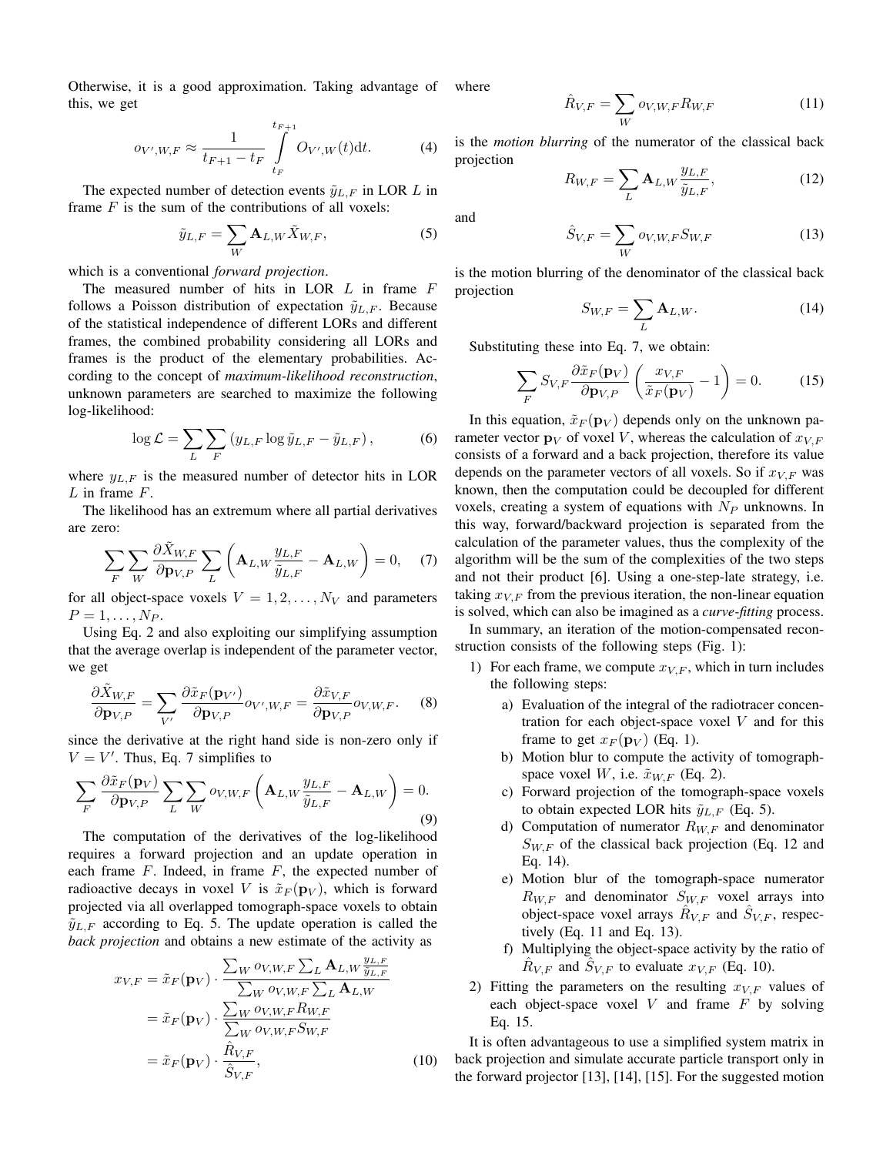Otherwise, it is a good approximation. Taking advantage of this, we get

$$
o_{V',W,F} \approx \frac{1}{t_{F+1} - t_F} \int_{t_F}^{t_{F+1}} O_{V',W}(t) \, \mathrm{d}t. \tag{4}
$$

The expected number of detection events  $\tilde{y}_{L,F}$  in LOR L in frame  $F$  is the sum of the contributions of all voxels:

$$
\tilde{y}_{L,F} = \sum_{W} \mathbf{A}_{L,W} \tilde{X}_{W,F},\tag{5}
$$

which is a conventional *forward projection*.

The measured number of hits in LOR  $L$  in frame  $F$ follows a Poisson distribution of expectation  $\tilde{y}_{L,F}$ . Because of the statistical independence of different LORs and different frames, the combined probability considering all LORs and frames is the product of the elementary probabilities. According to the concept of *maximum-likelihood reconstruction*, unknown parameters are searched to maximize the following log-likelihood:

$$
\log \mathcal{L} = \sum_{L} \sum_{F} \left( y_{L,F} \log \tilde{y}_{L,F} - \tilde{y}_{L,F} \right),\tag{6}
$$

where  $y_{L,F}$  is the measured number of detector hits in LOR  $L$  in frame  $F$ .

The likelihood has an extremum where all partial derivatives are zero:

$$
\sum_{F} \sum_{W} \frac{\partial \tilde{X}_{W,F}}{\partial \mathbf{p}_{V,P}} \sum_{L} \left( \mathbf{A}_{L,W} \frac{y_{L,F}}{\tilde{y}_{L,F}} - \mathbf{A}_{L,W} \right) = 0, \quad (7)
$$

for all object-space voxels  $V = 1, 2, ..., N_V$  and parameters  $P = 1, ..., N_P$ .

Using Eq. 2 and also exploiting our simplifying assumption that the average overlap is independent of the parameter vector, we get

$$
\frac{\partial \tilde{X}_{W,F}}{\partial \mathbf{p}_{V,P}} = \sum_{V'} \frac{\partial \tilde{x}_F(\mathbf{p}_{V'})}{\partial \mathbf{p}_{V,P}} o_{V',W,F} = \frac{\partial \tilde{x}_{V,F}}{\partial \mathbf{p}_{V,P}} o_{V,W,F}.
$$
 (8)

since the derivative at the right hand side is non-zero only if  $V = V'$ . Thus, Eq. 7 simplifies to

$$
\sum_{F} \frac{\partial \tilde{x}_F(\mathbf{p}_V)}{\partial \mathbf{p}_{V,P}} \sum_{L} \sum_{W} o_{V,W,F} \left( \mathbf{A}_{L,W} \frac{y_{L,F}}{\tilde{y}_{L,F}} - \mathbf{A}_{L,W} \right) = 0.
$$
\n(9)

The computation of the derivatives of the log-likelihood requires a forward projection and an update operation in each frame  $F$ . Indeed, in frame  $F$ , the expected number of radioactive decays in voxel V is  $\tilde{x}_F(\mathbf{p}_V)$ , which is forward projected via all overlapped tomograph-space voxels to obtain  $\tilde{y}_{L,F}$  according to Eq. 5. The update operation is called the *back projection* and obtains a new estimate of the activity as

$$
x_{V,F} = \tilde{x}_F(\mathbf{p}_V) \cdot \frac{\sum_W o_{V,W,F} \sum_L \mathbf{A}_{L,W} \frac{y_{L,F}}{\tilde{y}_{L,F}}}{\sum_W o_{V,W,F} \sum_L \mathbf{A}_{L,W}}
$$
  

$$
= \tilde{x}_F(\mathbf{p}_V) \cdot \frac{\sum_W o_{V,W,F} R_{W,F}}{\sum_W o_{V,W,F} S_{W,F}}
$$
  

$$
= \tilde{x}_F(\mathbf{p}_V) \cdot \frac{\hat{R}_{V,F}}{\hat{S}_{V,F}},
$$
 (10)

where

$$
\hat{R}_{V,F} = \sum_{W} o_{V,W,F} R_{W,F} \tag{11}
$$

is the *motion blurring* of the numerator of the classical back projection

$$
R_{W,F} = \sum_{L} \mathbf{A}_{L,W} \frac{y_{L,F}}{\tilde{y}_{L,F}},\tag{12}
$$

and

$$
\hat{S}_{V,F} = \sum_{W} o_{V,W,F} S_{W,F}
$$
\n(13)

is the motion blurring of the denominator of the classical back projection

$$
S_{W,F} = \sum_{L} \mathbf{A}_{L,W}.\tag{14}
$$

Substituting these into Eq. 7, we obtain:

$$
\sum_{F} S_{V,F} \frac{\partial \tilde{x}_F(\mathbf{p}_V)}{\partial \mathbf{p}_{V,P}} \left( \frac{x_{V,F}}{\tilde{x}_F(\mathbf{p}_V)} - 1 \right) = 0. \tag{15}
$$

In this equation,  $\tilde{x}_F(\mathbf{p}_V)$  depends only on the unknown parameter vector  $\mathbf{p}_V$  of voxel V, whereas the calculation of  $x_{V,F}$ consists of a forward and a back projection, therefore its value depends on the parameter vectors of all voxels. So if  $x_{V,F}$  was known, then the computation could be decoupled for different voxels, creating a system of equations with  $N_P$  unknowns. In this way, forward/backward projection is separated from the calculation of the parameter values, thus the complexity of the algorithm will be the sum of the complexities of the two steps and not their product [6]. Using a one-step-late strategy, i.e. taking  $x_{V,F}$  from the previous iteration, the non-linear equation is solved, which can also be imagined as a *curve-fitting* process.

In summary, an iteration of the motion-compensated reconstruction consists of the following steps (Fig. 1):

- 1) For each frame, we compute  $x_{V,F}$ , which in turn includes the following steps:
	- a) Evaluation of the integral of the radiotracer concentration for each object-space voxel  $V$  and for this frame to get  $x_F (\mathbf{p}_V)$  (Eq. 1).
	- b) Motion blur to compute the activity of tomographspace voxel W, i.e.  $\tilde{x}_{W,F}$  (Eq. 2).
	- c) Forward projection of the tomograph-space voxels to obtain expected LOR hits  $\tilde{y}_{L,F}$  (Eq. 5).
	- d) Computation of numerator  $R_{W,F}$  and denominator  $S_{W,F}$  of the classical back projection (Eq. 12 and Eq. 14).
	- e) Motion blur of the tomograph-space numerator  $R_{W,F}$  and denominator  $S_{W,F}$  voxel arrays into object-space voxel arrays  $\hat{R}_{V,F}$  and  $\hat{S}_{V,F}$ , respectively (Eq. 11 and Eq. 13).
	- f) Multiplying the object-space activity by the ratio of  $\hat{R}_{V,F}$  and  $\hat{S}_{V,F}$  to evaluate  $x_{V,F}$  (Eq. 10).
- 2) Fitting the parameters on the resulting  $x_{V,F}$  values of each object-space voxel  $V$  and frame  $F$  by solving Eq. 15.

It is often advantageous to use a simplified system matrix in back projection and simulate accurate particle transport only in the forward projector [13], [14], [15]. For the suggested motion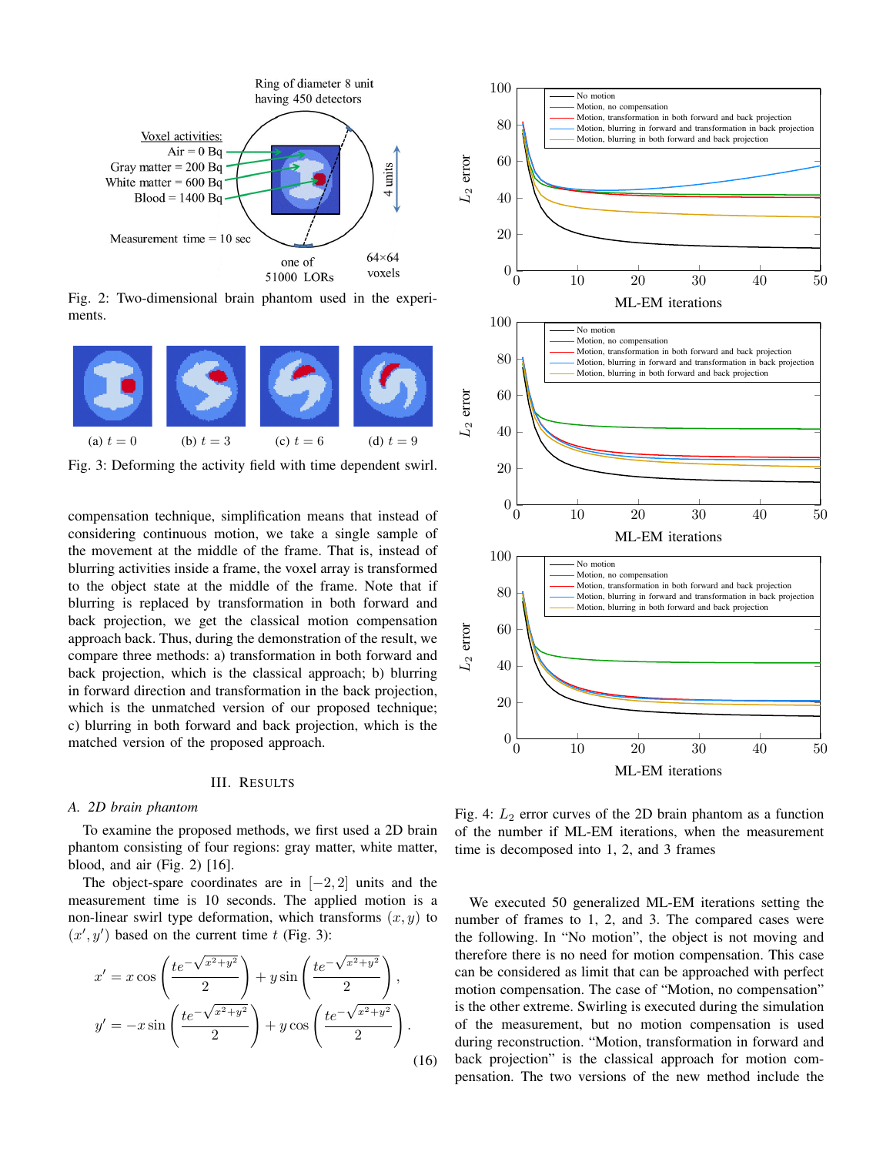

Fig. 2: Two-dimensional brain phantom used in the experiments.



Fig. 3: Deforming the activity field with time dependent swirl.

compensation technique, simplification means that instead of considering continuous motion, we take a single sample of the movement at the middle of the frame. That is, instead of blurring activities inside a frame, the voxel array is transformed to the object state at the middle of the frame. Note that if blurring is replaced by transformation in both forward and back projection, we get the classical motion compensation approach back. Thus, during the demonstration of the result, we compare three methods: a) transformation in both forward and back projection, which is the classical approach; b) blurring in forward direction and transformation in the back projection, which is the unmatched version of our proposed technique; c) blurring in both forward and back projection, which is the matched version of the proposed approach.

## III. RESULTS

#### *A. 2D brain phantom*

To examine the proposed methods, we first used a 2D brain phantom consisting of four regions: gray matter, white matter, blood, and air (Fig. 2) [16].

The object-spare coordinates are in  $[-2, 2]$  units and the measurement time is 10 seconds. The applied motion is a non-linear swirl type deformation, which transforms  $(x, y)$  to  $(x', y')$  based on the current time t (Fig. 3):

$$
x' = x \cos\left(\frac{te^{-\sqrt{x^2 + y^2}}}{2}\right) + y \sin\left(\frac{te^{-\sqrt{x^2 + y^2}}}{2}\right),
$$
  

$$
y' = -x \sin\left(\frac{te^{-\sqrt{x^2 + y^2}}}{2}\right) + y \cos\left(\frac{te^{-\sqrt{x^2 + y^2}}}{2}\right).
$$
 (16)



Fig. 4:  $L_2$  error curves of the 2D brain phantom as a function of the number if ML-EM iterations, when the measurement time is decomposed into 1, 2, and 3 frames

We executed 50 generalized ML-EM iterations setting the number of frames to 1, 2, and 3. The compared cases were the following. In "No motion", the object is not moving and therefore there is no need for motion compensation. This case can be considered as limit that can be approached with perfect motion compensation. The case of "Motion, no compensation" is the other extreme. Swirling is executed during the simulation of the measurement, but no motion compensation is used during reconstruction. "Motion, transformation in forward and back projection" is the classical approach for motion compensation. The two versions of the new method include the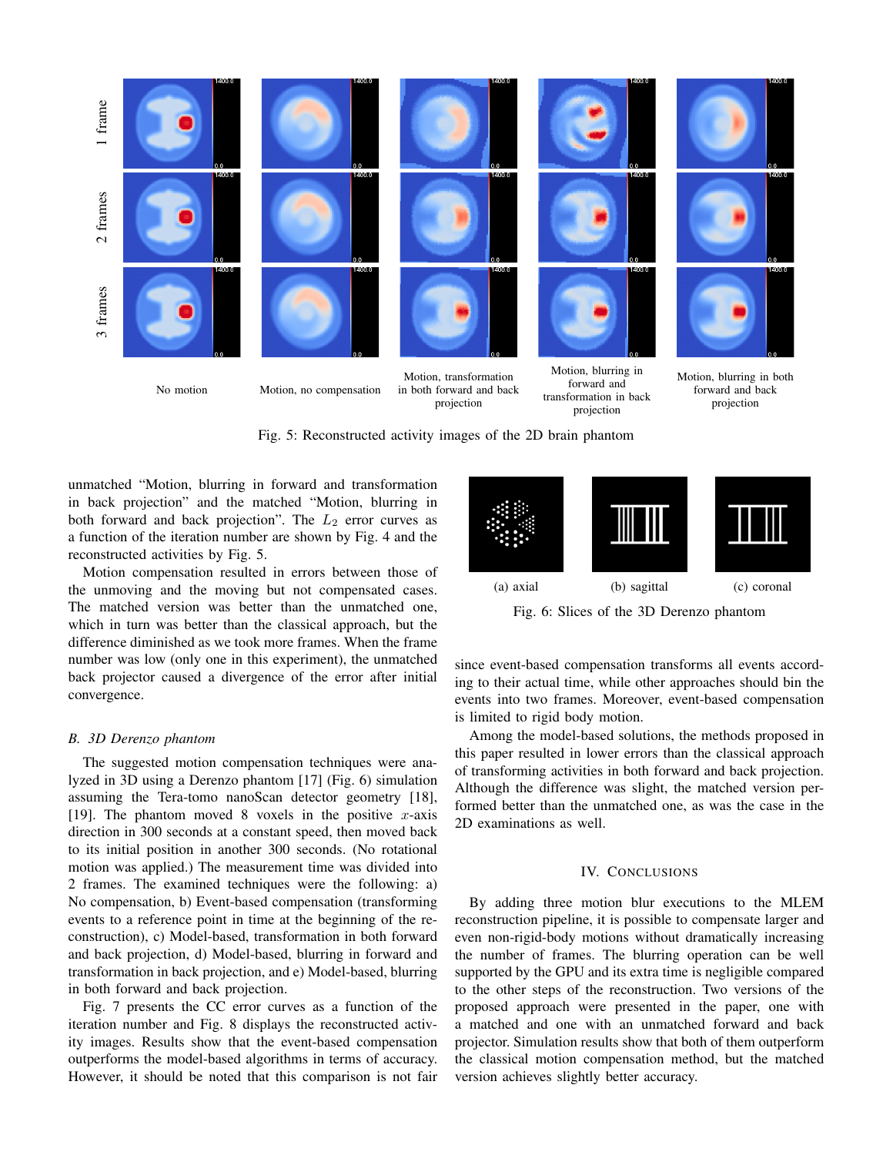

Fig. 5: Reconstructed activity images of the 2D brain phantom

unmatched "Motion, blurring in forward and transformation in back projection" and the matched "Motion, blurring in both forward and back projection". The  $L_2$  error curves as a function of the iteration number are shown by Fig. 4 and the reconstructed activities by Fig. 5.

Motion compensation resulted in errors between those of the unmoving and the moving but not compensated cases. The matched version was better than the unmatched one, which in turn was better than the classical approach, but the difference diminished as we took more frames. When the frame number was low (only one in this experiment), the unmatched back projector caused a divergence of the error after initial convergence.

## *B. 3D Derenzo phantom*

The suggested motion compensation techniques were analyzed in 3D using a Derenzo phantom [17] (Fig. 6) simulation assuming the Tera-tomo nanoScan detector geometry [18], [19]. The phantom moved 8 voxels in the positive x-axis direction in 300 seconds at a constant speed, then moved back to its initial position in another 300 seconds. (No rotational motion was applied.) The measurement time was divided into 2 frames. The examined techniques were the following: a) No compensation, b) Event-based compensation (transforming events to a reference point in time at the beginning of the reconstruction), c) Model-based, transformation in both forward and back projection, d) Model-based, blurring in forward and transformation in back projection, and e) Model-based, blurring in both forward and back projection.

Fig. 7 presents the CC error curves as a function of the iteration number and Fig. 8 displays the reconstructed activity images. Results show that the event-based compensation outperforms the model-based algorithms in terms of accuracy. However, it should be noted that this comparison is not fair



Fig. 6: Slices of the 3D Derenzo phantom

since event-based compensation transforms all events according to their actual time, while other approaches should bin the events into two frames. Moreover, event-based compensation is limited to rigid body motion.

Among the model-based solutions, the methods proposed in this paper resulted in lower errors than the classical approach of transforming activities in both forward and back projection. Although the difference was slight, the matched version performed better than the unmatched one, as was the case in the 2D examinations as well.

# IV. CONCLUSIONS

By adding three motion blur executions to the MLEM reconstruction pipeline, it is possible to compensate larger and even non-rigid-body motions without dramatically increasing the number of frames. The blurring operation can be well supported by the GPU and its extra time is negligible compared to the other steps of the reconstruction. Two versions of the proposed approach were presented in the paper, one with a matched and one with an unmatched forward and back projector. Simulation results show that both of them outperform the classical motion compensation method, but the matched version achieves slightly better accuracy.